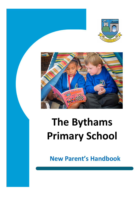



# **The Bythams Primary School**

**New Parent's Handbook**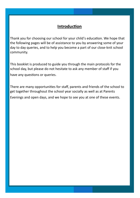# **Introduction**

Thank you for choosing our school for your child's education. We hope that the following pages will be of assistance to you by answering some of your day to day queries, and to help you become a part of our close-knit school community.

This booklet is produced to guide you through the main protocols for the school day, but please do not hesitate to ask any member of staff if you have any questions or queries.

There are many opportunities for staff, parents and friends of the school to get together throughout the school year socially as well as at Parents Evenings and open days, and we hope to see you at one of these events.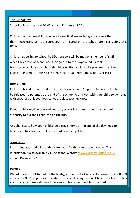### **The School Day**

School officially starts at 08.45 am and finishes at 3.10 pm.

Children can be brought into school from 08.30 am each day - children, other than those using LEA transport, are not insured on the school premises before this time.

Children travelling to school by LEA transport will be met by a member of staff when they arrive at school and then go out to the playground. Parents transporting children to school should bring their child to the playground at the back of the school. Access to this entrance is gained via the School Car Park.

### **Home Time**

Children should be collected from their classroom at 3.10 pm. Children will only be released to parents at the end of the school day. If you wish your child to go home with another adult you need to let the class teacher know.

If your child is eligible to travel home by school bus parent's need give school authority to put their child/ren on the bus.

Any changes to how your child should travel home at the end of the day need to be advised to school so that our records can be updated.

### **Term Dates**

Please find attached a list of the term dates for the next academic year. This information is also available via the school website [www.bythams](http://www.bythams-school.co.uk)-school.co.uk under "Parents Info".

### **Parking**

We ask parents not to park in the lay-by, at the front of school, between 08.30 - 08.50 am and 3.00 - 3.30 pm or in the staff car park. The lay-by might be empty, but the bus and official taxis may still need the space. Please use the school car park.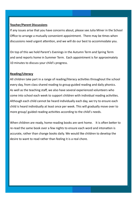### **Teacher/Parent Discussions**

If any issues arise that you have concerns about, please see Julia Miner in the School Office to arrange a mutually convenient appointment. There may be times when discussions need urgent attention, and we will do our best to accommodate you.

On top of this we hold Parent's Evenings in the Autumn Term and Spring Term and send reports home in Summer Term. Each appointment is for approximately 10 minutes to discuss your child's progress.

### **Reading/Literacy**

All children take part in a range of reading/literacy activities throughout the school every day, from class shared reading to group guided reading and daily phonics. As well as the teaching staff, we also have several experienced volunteers who come into school each week to support children with individual reading activities. Although each child cannot be heard individually each day, we try to ensure each child is heard individually at least once per week. This will gradually move over to more group/ guided reading activities according to the child's needs.

When children are ready, home-reading books are sent home. It is often better to re-read the same book over a few nights to ensure each word and intonation is accurate, rather than change books daily. We would like children to develop the desire to want to read rather than feeling it is a real chore.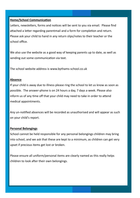### **Home/School Communication**

Letters, newsletters, forms and notices will be sent to you via email. Please find attached a letter regarding parentmail and a form for completion and return. Please ask your child to hand in any return slips/notes to their teacher or the school office.

We also use the website as a good way of keeping parents up to date, as well as sending out some communication via text.

The school website address is www.bythams-school.co.uk

### **Absence**

If your child is away due to illness please ring the school to let us know as soon as possible. The answer-phone is on 24 hours a day, 7 days a week. Please also inform us of any time off that your child may need to take in order to attend medical appointments.

Any un-notified absences will be recorded as unauthorised and will appear as such on your child's report.

### **Personal Belongings**

School cannot be held responsible for any personal belongings children may bring into school, and we ask that these are kept to a minimum, as children can get very upset if precious items get lost or broken.

Please ensure all uniform/personal items are clearly named as this really helps children to look after their own belongings.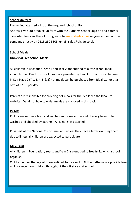### **School Uniform**

Please find attached a list of the required school uniform.

Andrew Hyde Ltd produce uniform with the Bythams School Logo on and parents can order items via the following website [www.ahyde.co.uk](http://www.ahyde.co.uk) or you can contact the company directly on 0113 289 3303, email: sales@ahyde.co.uk .

#### **School Meals**

### **Universal Free School Meals**

All children in Reception, Year 1 and Year 2 are entitled to a free school meal at lunchtime. Our hot school meals are provided by Ideal Ltd. For those children in Key Stage 2 (Yrs, 3, 4, 5 & 5) hot meals can be purchased from Ideal Ltd for at a cost of £2.30 per day.

Parents are responsible for ordering hot meals for their child via the Ideal Ltd website. Details of how to order meals are enclosed in this pack.

### **PE Kits**

PE Kits are kept in school and will be sent home at the end of every term to be washed and checked by parents. A PE kit list is attached.

PE is part of the National Curriculum, and unless they have a letter excusing them due to illness all children are expected to participate.

### **Milk, Fruit**

All children in Foundation, Year 1 and Year 2 are entitled to free fruit, which school organise.

Children under the age of 5 are entitled to free milk. At the Bythams we provide free milk for reception children throughout their first year at school.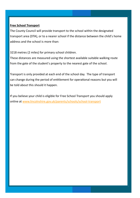### **Free School Transport**

The County Council will provide transport to the school within the designated transport area (DTA), or to a nearer school if the distance between the child's home address and the school is more than:

3218 metres (2 miles) for primary school children.

These distances are measured using the shortest available suitable walking route from the gate of the student's property to the nearest gate of the school.

Transport is only provided at each end of the school day. The type of transport can change during the period of entitlement for operational reasons but you will be told about this should it happen.

If you believe your child is eligible for Free School Transport you should apply online at [www.lincolnshire.gov.uk/parents/schools/school](http://www.lincolnshire.gov.uk/parents/schools/school-transport)-transport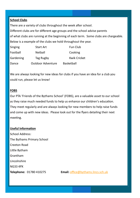### **School Clubs**

There are a variety of clubs throughout the week after school. Different clubs are for different age groups and the school advise parents of what clubs are running at the beginning of each term. Some clubs are chargeable. Below is a example of the clubs we hold throughout the year. Singing Start Art Fun Club

| Football  | <b>Netball</b>           | Cooking             |
|-----------|--------------------------|---------------------|
| Gardening | Tag Rugby                | <b>Kwik Cricket</b> |
| Dance     | <b>Outdoor Adventure</b> | <b>Basketball</b>   |

We are always looking for new ideas for clubs if you have an idea for a club you could run, please let us know!

### **FOBS**

Our PTA 'Friends of the Bythams School' (FOBS), are a valuable asset to our school as they raise much needed funds to help us enhance our children's education. They meet regularly and are always looking for new members to help raise funds and come up with new ideas. Please look out for the flyers detailing their next meeting.

### **Useful Information**

School Address: The Bythams Primary School Creeton Road Little Bytham Grantham Lincolnshire NG33 4PX

**Telephone:** 01780 410275 **Email:** [office@bythams.lincs.sch.uk](mailto:office@bythams.lincs.sch.uk)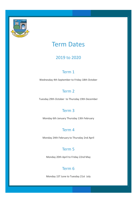

# Term Dates

# 2019 to 2020

# Term 1

Wednesday 4th September to Friday 18th October

# Term 2

Tuesday 29th October to Thursday 19th December

# Term 3

Monday 6th January Thursday 13th February

# Term 4

Monday 24th February to Thursday 2nd April

# Term 5

Monday 20th April to Friday 22nd May

### Term 6

Monday 1ST June to Tuesday 21st July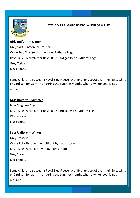

### **BYTHAMS PRIMARY SCHOOL – UNIFORM LIST**

### **Girls Uniform – Winter**

Grey Skirt, Pinafore or Trousers While Polo Shirt (with or without Bythams Logo) Royal Blue Sweatshirt or Royal Blue Cardigan (with Bythams Logo) Grey Tights Black Shoes

Some children also wear a Royal Blue Fleece (with Bythams Logo) over their Sweatshirt or Cardigan for warmth or during the summer months when a winter coat is not required.

### **Girls Uniform – Summer**

Blue Gingham Dress Royal Blue Sweatshirt or Royal Blue Cardigan with Bythams Logo White Socks Black Shoes

### **Boys Uniform – Winter**

Grey Trousers White Polo Shirt (with or without Bythams Logo) Royal Blue Sweatshirt (with Bythams Logo) Grey Socks Black Shoes

Some children also wear a Royal Blue Fleece (with Bythams Logo) over their Sweatshirt or Cardigan for warmth or during the summer months when a winter coat is not required.